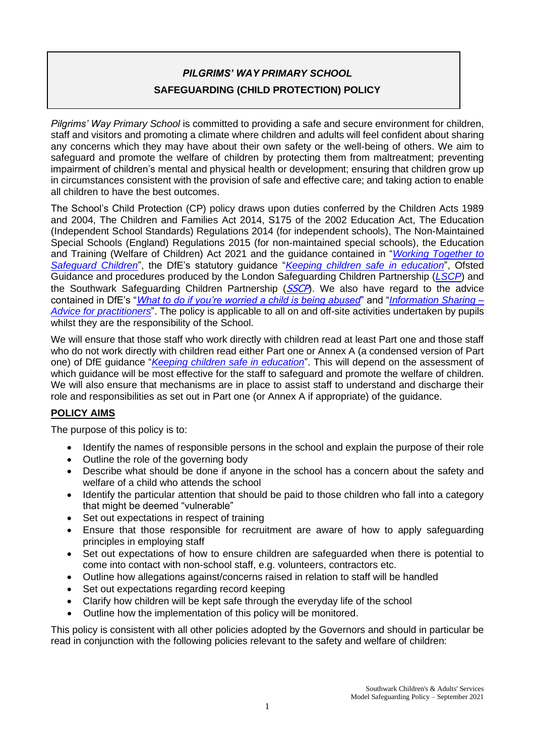# *PILGRIMS' WAY PRIMARY SCHOOL* **SAFEGUARDING (CHILD PROTECTION) POLICY**

*Pilgrims' Way Primary School* is committed to providing a safe and secure environment for children, staff and visitors and promoting a climate where children and adults will feel confident about sharing any concerns which they may have about their own safety or the well-being of others. We aim to safeguard and promote the welfare of children by protecting them from maltreatment; preventing impairment of children's mental and physical health or development; ensuring that children grow up in circumstances consistent with the provision of safe and effective care; and taking action to enable all children to have the best outcomes.

The School's Child Protection (CP) policy draws upon duties conferred by the Children Acts 1989 and 2004, The Children and Families Act 2014, S175 of the 2002 Education Act, The Education (Independent School Standards) Regulations 2014 (for independent schools), The Non-Maintained Special Schools (England) Regulations 2015 (for non-maintained special schools), the Education and Training (Welfare of Children) Act 2021 and the guidance contained in "*[Working Together to](https://www.gov.uk/government/publications/working-together-to-safeguard-children--2)  [Safeguard Children](https://www.gov.uk/government/publications/working-together-to-safeguard-children--2)*", the DfE's statutory guidance "*[Keeping children safe in education](https://www.gov.uk/government/publications/keeping-children-safe-in-education--2)*", Ofsted Guidance and procedures produced by the London Safeguarding Children Partnership (*[LSCP](http://www.londonscb.gov.uk/)*) and the Southwark Safeguarding Children Partnership ([SSCP](http://safeguarding.southwark.gov.uk/southwark-safeguarding-board/sscp/)). We also have regard to the advice contained in DfE's "*[What to do if you're worried a child is being abused](https://www.gov.uk/government/publications/what-to-do-if-youre-worried-a-child-is-being-abused--2)*" and "*[Information Sharing –](https://www.gov.uk/government/publications/safeguarding-practitioners-information-sharing-advice) [Advice for practitioners](https://www.gov.uk/government/publications/safeguarding-practitioners-information-sharing-advice)*". The policy is applicable to all on and off-site activities undertaken by pupils whilst they are the responsibility of the School.

We will ensure that those staff who work directly with children read at least Part one and those staff who do not work directly with children read either Part one or Annex A (a condensed version of Part one) of DfE guidance "*[Keeping children safe in education](https://www.gov.uk/government/publications/keeping-children-safe-in-education--2)*". This will depend on the assessment of which guidance will be most effective for the staff to safeguard and promote the welfare of children. We will also ensure that mechanisms are in place to assist staff to understand and discharge their role and responsibilities as set out in Part one (or Annex A if appropriate) of the guidance.

# **POLICY AIMS**

The purpose of this policy is to:

- Identify the names of responsible persons in the school and explain the purpose of their role
- Outline the role of the governing body
- Describe what should be done if anyone in the school has a concern about the safety and welfare of a child who attends the school
- Identify the particular attention that should be paid to those children who fall into a category that might be deemed "vulnerable"
- Set out expectations in respect of training
- Ensure that those responsible for recruitment are aware of how to apply safeguarding principles in employing staff
- Set out expectations of how to ensure children are safeguarded when there is potential to come into contact with non-school staff, e.g. volunteers, contractors etc.
- Outline how allegations against/concerns raised in relation to staff will be handled
- Set out expectations regarding record keeping
- Clarify how children will be kept safe through the everyday life of the school
- Outline how the implementation of this policy will be monitored.

This policy is consistent with all other policies adopted by the Governors and should in particular be read in conjunction with the following policies relevant to the safety and welfare of children: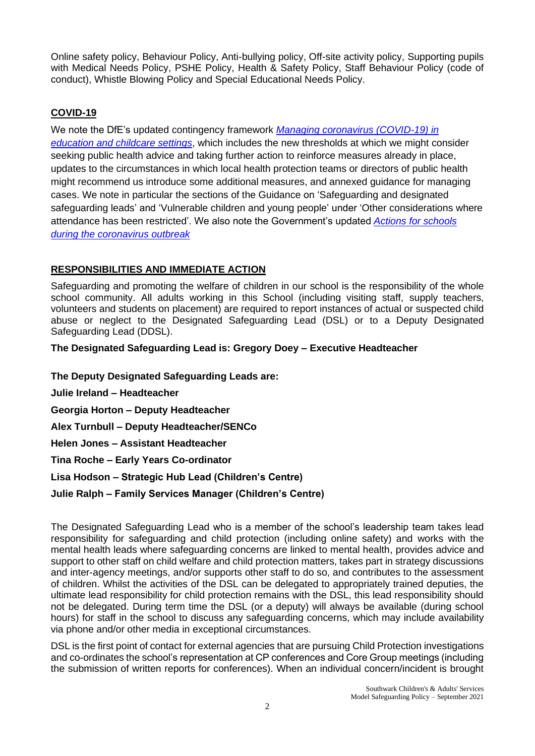Online safety policy, Behaviour Policy, Anti-bullying policy, Off-site activity policy, Supporting pupils with Medical Needs Policy, PSHE Policy, Health & Safety Policy, Staff Behaviour Policy (code of conduct), Whistle Blowing Policy and Special Educational Needs Policy.

# **COVID-19**

We note the DfE's updated contingency framework *[Managing coronavirus \(COVID-19\) in](https://www.gov.uk/government/publications/coronavirus-covid-19-local-restrictions-in-education-and-childcare-settings?utm_medium=email&utm_campaign=govuk-notifications&utm_source=f75efe81-efb1-40ab-bae6-f57a074b6f05&utm_content=daily)  [education and childcare settings](https://www.gov.uk/government/publications/coronavirus-covid-19-local-restrictions-in-education-and-childcare-settings?utm_medium=email&utm_campaign=govuk-notifications&utm_source=f75efe81-efb1-40ab-bae6-f57a074b6f05&utm_content=daily)*, which includes the new thresholds at which we might consider seeking public health advice and taking further action to reinforce measures already in place, updates to the circumstances in which local health protection teams or directors of public health might recommend us introduce some additional measures, and annexed guidance for managing cases. We note in particular the sections of the Guidance on 'Safeguarding and designated safeguarding leads' and 'Vulnerable children and young people' under 'Other considerations where attendance has been restricted'. We also note the Government's updated *[Actions for schools](https://www.gov.uk/government/publications/actions-for-schools-during-the-coronavirus-outbreak?utm_medium=email&utm_campaign=govuk-notifications&utm_source=ae0d31a3-dbde-4cbf-91b2-2ed48dd33915&utm_content=daily)  [during the coronavirus outbreak](https://www.gov.uk/government/publications/actions-for-schools-during-the-coronavirus-outbreak?utm_medium=email&utm_campaign=govuk-notifications&utm_source=ae0d31a3-dbde-4cbf-91b2-2ed48dd33915&utm_content=daily)*

# **RESPONSIBILITIES AND IMMEDIATE ACTION**

Safeguarding and promoting the welfare of children in our school is the responsibility of the whole school community. All adults working in this School (including visiting staff, supply teachers, volunteers and students on placement) are required to report instances of actual or suspected child abuse or neglect to the Designated Safeguarding Lead (DSL) or to a Deputy Designated Safeguarding Lead (DDSL).

### **The Designated Safeguarding Lead is: Gregory Doey – Executive Headteacher**

**The Deputy Designated Safeguarding Leads are:** 

**Julie Ireland – Headteacher**

**Georgia Horton – Deputy Headteacher**

**Alex Turnbull – Deputy Headteacher/SENCo**

**Helen Jones – Assistant Headteacher**

**Tina Roche – Early Years Co-ordinator**

### **Lisa Hodson – Strategic Hub Lead (Children's Centre)**

**Julie Ralph – Family Services Manager (Children's Centre)**

The Designated Safeguarding Lead who is a member of the school's leadership team takes lead responsibility for safeguarding and child protection (including online safety) and works with the mental health leads where safeguarding concerns are linked to mental health, provides advice and support to other staff on child welfare and child protection matters, takes part in strategy discussions and inter-agency meetings, and/or supports other staff to do so, and contributes to the assessment of children. Whilst the activities of the DSL can be delegated to appropriately trained deputies, the ultimate lead responsibility for child protection remains with the DSL, this lead responsibility should not be delegated. During term time the DSL (or a deputy) will always be available (during school hours) for staff in the school to discuss any safeguarding concerns, which may include availability via phone and/or other media in exceptional circumstances.

DSL is the first point of contact for external agencies that are pursuing Child Protection investigations and co-ordinates the school's representation at CP conferences and Core Group meetings (including the submission of written reports for conferences). When an individual concern/incident is brought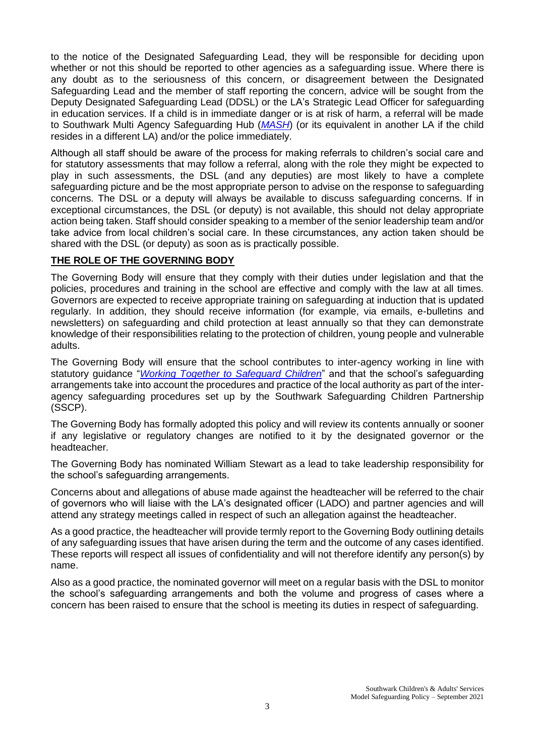to the notice of the Designated Safeguarding Lead, they will be responsible for deciding upon whether or not this should be reported to other agencies as a safeguarding issue. Where there is any doubt as to the seriousness of this concern, or disagreement between the Designated Safeguarding Lead and the member of staff reporting the concern, advice will be sought from the Deputy Designated Safeguarding Lead (DDSL) or the LA's Strategic Lead Officer for safeguarding in education services. If a child is in immediate danger or is at risk of harm, a referral will be made to Southwark Multi Agency Safeguarding Hub (*[MASH](https://www.southwark.gov.uk/childcare-and-parenting/children-s-social-care/child-protection/multi-agency-safeguarding-hub-mash)*) (or its equivalent in another LA if the child resides in a different LA) and/or the police immediately.

Although all staff should be aware of the process for making referrals to children's social care and for statutory assessments that may follow a referral, along with the role they might be expected to play in such assessments, the DSL (and any deputies) are most likely to have a complete safeguarding picture and be the most appropriate person to advise on the response to safeguarding concerns. The DSL or a deputy will always be available to discuss safeguarding concerns. If in exceptional circumstances, the DSL (or deputy) is not available, this should not delay appropriate action being taken. Staff should consider speaking to a member of the senior leadership team and/or take advice from local children's social care. In these circumstances, any action taken should be shared with the DSL (or deputy) as soon as is practically possible.

### **THE ROLE OF THE GOVERNING BODY**

The Governing Body will ensure that they comply with their duties under legislation and that the policies, procedures and training in the school are effective and comply with the law at all times. Governors are expected to receive appropriate training on safeguarding at induction that is updated regularly. In addition, they should receive information (for example, via emails, e-bulletins and newsletters) on safeguarding and child protection at least annually so that they can demonstrate knowledge of their responsibilities relating to the protection of children, young people and vulnerable adults.

The Governing Body will ensure that the school contributes to inter-agency working in line with statutory guidance "*[Working Together to Safeguard Children](https://www.gov.uk/government/publications/working-together-to-safeguard-children--2)*" and that the school's safeguarding arrangements take into account the procedures and practice of the local authority as part of the interagency safeguarding procedures set up by the Southwark Safeguarding Children Partnership (SSCP).

The Governing Body has formally adopted this policy and will review its contents annually or sooner if any legislative or regulatory changes are notified to it by the designated governor or the headteacher.

The Governing Body has nominated William Stewart as a lead to take leadership responsibility for the school's safeguarding arrangements.

Concerns about and allegations of abuse made against the headteacher will be referred to the chair of governors who will liaise with the LA's designated officer (LADO) and partner agencies and will attend any strategy meetings called in respect of such an allegation against the headteacher.

As a good practice, the headteacher will provide termly report to the Governing Body outlining details of any safeguarding issues that have arisen during the term and the outcome of any cases identified. These reports will respect all issues of confidentiality and will not therefore identify any person(s) by name.

Also as a good practice, the nominated governor will meet on a regular basis with the DSL to monitor the school's safeguarding arrangements and both the volume and progress of cases where a concern has been raised to ensure that the school is meeting its duties in respect of safeguarding.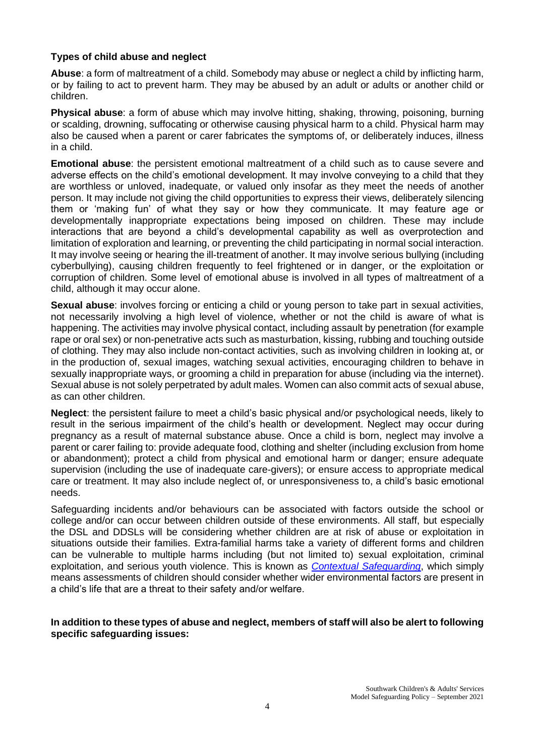#### **Types of child abuse and neglect**

**Abuse**: a form of maltreatment of a child. Somebody may abuse or neglect a child by inflicting harm, or by failing to act to prevent harm. They may be abused by an adult or adults or another child or children.

**Physical abuse**: a form of abuse which may involve hitting, shaking, throwing, poisoning, burning or scalding, drowning, suffocating or otherwise causing physical harm to a child. Physical harm may also be caused when a parent or carer fabricates the symptoms of, or deliberately induces, illness in a child.

**Emotional abuse**: the persistent emotional maltreatment of a child such as to cause severe and adverse effects on the child's emotional development. It may involve conveying to a child that they are worthless or unloved, inadequate, or valued only insofar as they meet the needs of another person. It may include not giving the child opportunities to express their views, deliberately silencing them or 'making fun' of what they say or how they communicate. It may feature age or developmentally inappropriate expectations being imposed on children. These may include interactions that are beyond a child's developmental capability as well as overprotection and limitation of exploration and learning, or preventing the child participating in normal social interaction. It may involve seeing or hearing the ill-treatment of another. It may involve serious bullying (including cyberbullying), causing children frequently to feel frightened or in danger, or the exploitation or corruption of children. Some level of emotional abuse is involved in all types of maltreatment of a child, although it may occur alone.

**Sexual abuse**: involves forcing or enticing a child or young person to take part in sexual activities, not necessarily involving a high level of violence, whether or not the child is aware of what is happening. The activities may involve physical contact, including assault by penetration (for example rape or oral sex) or non-penetrative acts such as masturbation, kissing, rubbing and touching outside of clothing. They may also include non-contact activities, such as involving children in looking at, or in the production of, sexual images, watching sexual activities, encouraging children to behave in sexually inappropriate ways, or grooming a child in preparation for abuse (including via the internet). Sexual abuse is not solely perpetrated by adult males. Women can also commit acts of sexual abuse, as can other children.

**Neglect**: the persistent failure to meet a child's basic physical and/or psychological needs, likely to result in the serious impairment of the child's health or development. Neglect may occur during pregnancy as a result of maternal substance abuse. Once a child is born, neglect may involve a parent or carer failing to: provide adequate food, clothing and shelter (including exclusion from home or abandonment); protect a child from physical and emotional harm or danger; ensure adequate supervision (including the use of inadequate care-givers); or ensure access to appropriate medical care or treatment. It may also include neglect of, or unresponsiveness to, a child's basic emotional needs.

Safeguarding incidents and/or behaviours can be associated with factors outside the school or college and/or can occur between children outside of these environments. All staff, but especially the DSL and DDSLs will be considering whether children are at risk of abuse or exploitation in situations outside their families. Extra-familial harms take a variety of different forms and children can be vulnerable to multiple harms including (but not limited to) sexual exploitation, criminal exploitation, and serious youth violence. This is known as *[Contextual Safeguarding](https://contextualsafeguarding.org.uk/)*, which simply means assessments of children should consider whether wider environmental factors are present in a child's life that are a threat to their safety and/or welfare.

#### **In addition to these types of abuse and neglect, members of staff will also be alert to following specific safeguarding issues:**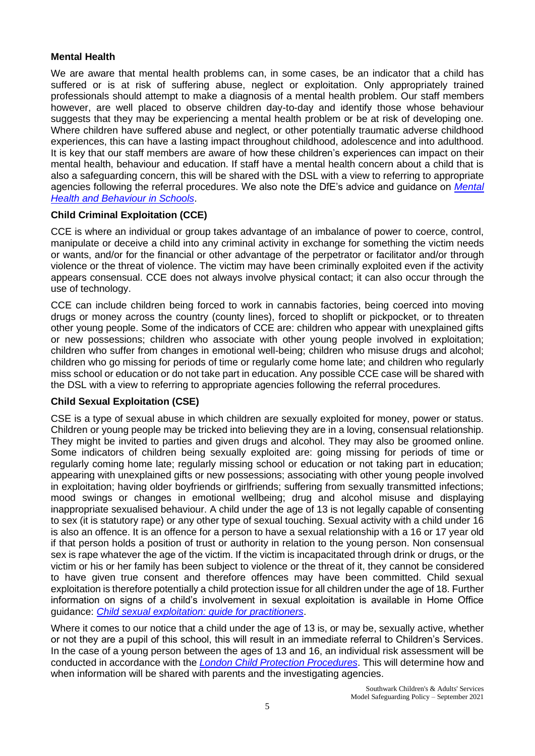#### **Mental Health**

We are aware that mental health problems can, in some cases, be an indicator that a child has suffered or is at risk of suffering abuse, neglect or exploitation. Only appropriately trained professionals should attempt to make a diagnosis of a mental health problem. Our staff members however, are well placed to observe children day-to-day and identify those whose behaviour suggests that they may be experiencing a mental health problem or be at risk of developing one. Where children have suffered abuse and neglect, or other potentially traumatic adverse childhood experiences, this can have a lasting impact throughout childhood, adolescence and into adulthood. It is key that our staff members are aware of how these children's experiences can impact on their mental health, behaviour and education. If staff have a mental health concern about a child that is also a safeguarding concern, this will be shared with the DSL with a view to referring to appropriate agencies following the referral procedures. We also note the DfE's advice and guidance on *[Mental](https://www.gov.uk/government/publications/mental-health-and-behaviour-in-schools--2)  [Health and Behaviour in Schools](https://www.gov.uk/government/publications/mental-health-and-behaviour-in-schools--2)*.

#### **Child Criminal Exploitation (CCE)**

CCE is where an individual or group takes advantage of an imbalance of power to coerce, control, manipulate or deceive a child into any criminal activity in exchange for something the victim needs or wants, and/or for the financial or other advantage of the perpetrator or facilitator and/or through violence or the threat of violence. The victim may have been criminally exploited even if the activity appears consensual. CCE does not always involve physical contact; it can also occur through the use of technology.

CCE can include children being forced to work in cannabis factories, being coerced into moving drugs or money across the country (county lines), forced to shoplift or pickpocket, or to threaten other young people. Some of the indicators of CCE are: children who appear with unexplained gifts or new possessions; children who associate with other young people involved in exploitation; children who suffer from changes in emotional well-being; children who misuse drugs and alcohol; children who go missing for periods of time or regularly come home late; and children who regularly miss school or education or do not take part in education. Any possible CCE case will be shared with the DSL with a view to referring to appropriate agencies following the referral procedures.

### **Child Sexual Exploitation (CSE)**

CSE is a type of sexual abuse in which children are sexually exploited for money, power or status. Children or young people may be tricked into believing they are in a loving, consensual relationship. They might be invited to parties and given drugs and alcohol. They may also be groomed online. Some indicators of children being sexually exploited are: going missing for periods of time or regularly coming home late; regularly missing school or education or not taking part in education; appearing with unexplained gifts or new possessions; associating with other young people involved in exploitation; having older boyfriends or girlfriends; suffering from sexually transmitted infections; mood swings or changes in emotional wellbeing; drug and alcohol misuse and displaying inappropriate sexualised behaviour. A child under the age of 13 is not legally capable of consenting to sex (it is statutory rape) or any other type of sexual touching. Sexual activity with a child under 16 is also an offence. It is an offence for a person to have a sexual relationship with a 16 or 17 year old if that person holds a position of trust or authority in relation to the young person. Non consensual sex is rape whatever the age of the victim. If the victim is incapacitated through drink or drugs, or the victim or his or her family has been subject to violence or the threat of it, they cannot be considered to have given true consent and therefore offences may have been committed. Child sexual exploitation is therefore potentially a child protection issue for all children under the age of 18. Further information on signs of a child's involvement in sexual exploitation is available in Home Office guidance: *[Child sexual exploitation: guide for practitioners](https://www.gov.uk/government/publications/child-sexual-exploitation-definition-and-guide-for-practitioners)*.

Where it comes to our notice that a child under the age of 13 is, or may be, sexually active, whether or not they are a pupil of this school, this will result in an immediate referral to Children's Services. In the case of a young person between the ages of 13 and 16, an individual risk assessment will be conducted in accordance with the *[London Child Protection Procedures](http://www.londoncp.co.uk/index.html)*. This will determine how and when information will be shared with parents and the investigating agencies.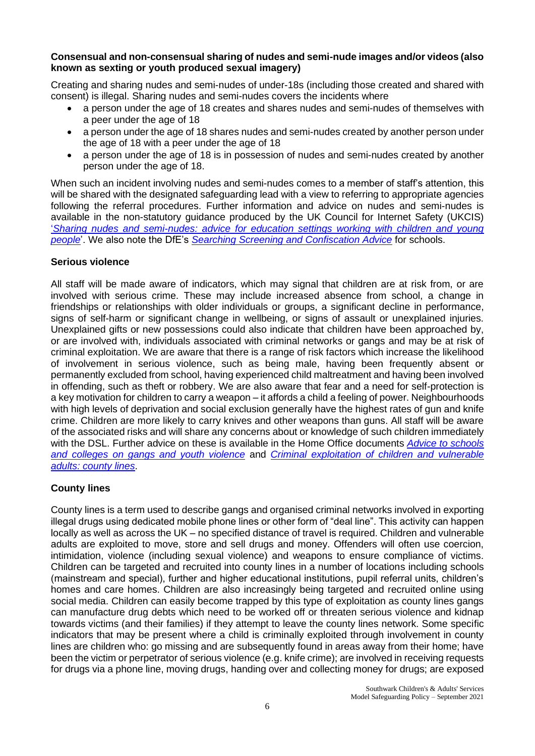#### **Consensual and non-consensual sharing of nudes and semi-nude images and/or videos (also known as sexting or youth produced sexual imagery)**

Creating and sharing nudes and semi-nudes of under-18s (including those created and shared with consent) is illegal. Sharing nudes and semi-nudes covers the incidents where

- a person under the age of 18 creates and shares nudes and semi-nudes of themselves with a peer under the age of 18
- a person under the age of 18 shares nudes and semi-nudes created by another person under the age of 18 with a peer under the age of 18
- a person under the age of 18 is in possession of nudes and semi-nudes created by another person under the age of 18.

When such an incident involving nudes and semi-nudes comes to a member of staff's attention, this will be shared with the designated safeguarding lead with a view to referring to appropriate agencies following the referral procedures. Further information and advice on nudes and semi-nudes is available in the non-statutory guidance produced by the UK Council for Internet Safety (UKCIS) '*Sharing nudes and [semi-nudes: advice for education settings working with children and young](https://www.gov.uk/government/uploads/system/uploads/attachment_data/file/609874/6_2939_SP_NCA_Sexting_In_Schools_FINAL_Update_Jan17.pdf) [people](https://www.gov.uk/government/uploads/system/uploads/attachment_data/file/609874/6_2939_SP_NCA_Sexting_In_Schools_FINAL_Update_Jan17.pdf)*'. We also note the DfE's *[Searching Screening and Confiscation Advice](https://www.gov.uk/government/publications/searching-screening-and-confiscation)* for schools.

### **Serious violence**

All staff will be made aware of indicators, which may signal that children are at risk from, or are involved with serious crime. These may include increased absence from school, a change in friendships or relationships with older individuals or groups, a significant decline in performance, signs of self-harm or significant change in wellbeing, or signs of assault or unexplained injuries. Unexplained gifts or new possessions could also indicate that children have been approached by, or are involved with, individuals associated with criminal networks or gangs and may be at risk of criminal exploitation. We are aware that there is a range of risk factors which increase the likelihood of involvement in serious violence, such as being male, having been frequently absent or permanently excluded from school, having experienced child maltreatment and having been involved in offending, such as theft or robbery. We are also aware that fear and a need for self-protection is a key motivation for children to carry a weapon – it affords a child a feeling of power. Neighbourhoods with high levels of deprivation and social exclusion generally have the highest rates of gun and knife crime. Children are more likely to carry knives and other weapons than guns. All staff will be aware of the associated risks and will share any concerns about or knowledge of such children immediately with the DSL. Further advice on these is available in the Home Office documents *[Advice to schools](https://www.gov.uk/government/publications/advice-to-schools-and-colleges-on-gangs-and-youth-violence)  [and colleges on gangs and youth violence](https://www.gov.uk/government/publications/advice-to-schools-and-colleges-on-gangs-and-youth-violence)* and *[Criminal exploitation of children and vulnerable](https://www.gov.uk/government/publications/criminal-exploitation-of-children-and-vulnerable-adults-county-lines)  [adults: county lines](https://www.gov.uk/government/publications/criminal-exploitation-of-children-and-vulnerable-adults-county-lines)*.

### **County lines**

County lines is a term used to describe gangs and organised criminal networks involved in exporting illegal drugs using dedicated mobile phone lines or other form of "deal line". This activity can happen locally as well as across the UK – no specified distance of travel is required. Children and vulnerable adults are exploited to move, store and sell drugs and money. Offenders will often use coercion, intimidation, violence (including sexual violence) and weapons to ensure compliance of victims. Children can be targeted and recruited into county lines in a number of locations including schools (mainstream and special), further and higher educational institutions, pupil referral units, children's homes and care homes. Children are also increasingly being targeted and recruited online using social media. Children can easily become trapped by this type of exploitation as county lines gangs can manufacture drug debts which need to be worked off or threaten serious violence and kidnap towards victims (and their families) if they attempt to leave the county lines network. Some specific indicators that may be present where a child is criminally exploited through involvement in county lines are children who: go missing and are subsequently found in areas away from their home; have been the victim or perpetrator of serious violence (e.g. knife crime); are involved in receiving requests for drugs via a phone line, moving drugs, handing over and collecting money for drugs; are exposed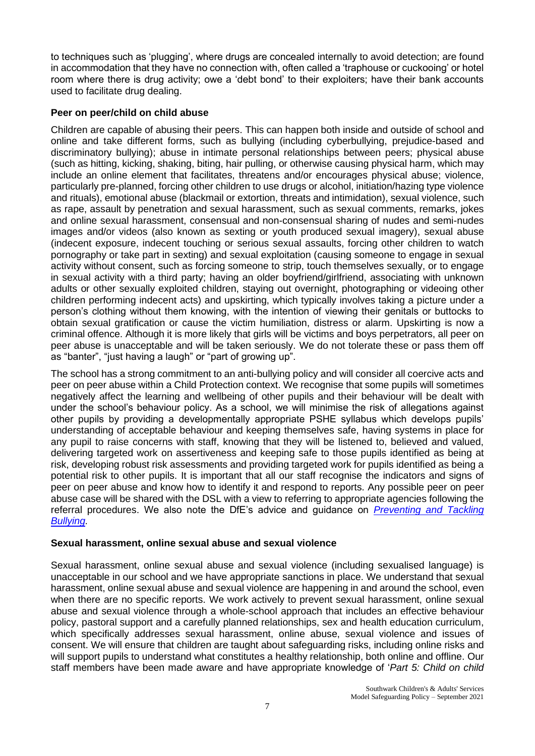to techniques such as 'plugging', where drugs are concealed internally to avoid detection; are found in accommodation that they have no connection with, often called a 'traphouse or cuckooing' or hotel room where there is drug activity; owe a 'debt bond' to their exploiters; have their bank accounts used to facilitate drug dealing.

### **Peer on peer/child on child abuse**

Children are capable of abusing their peers. This can happen both inside and outside of school and online and take different forms, such as bullying (including cyberbullying, prejudice-based and discriminatory bullying); abuse in intimate personal relationships between peers; physical abuse (such as hitting, kicking, shaking, biting, hair pulling, or otherwise causing physical harm, which may include an online element that facilitates, threatens and/or encourages physical abuse; violence, particularly pre-planned, forcing other children to use drugs or alcohol, initiation/hazing type violence and rituals), emotional abuse (blackmail or extortion, threats and intimidation), sexual violence, such as rape, assault by penetration and sexual harassment, such as sexual comments, remarks, jokes and online sexual harassment, consensual and non-consensual sharing of nudes and semi-nudes images and/or videos (also known as sexting or youth produced sexual imagery), sexual abuse (indecent exposure, indecent touching or serious sexual assaults, forcing other children to watch pornography or take part in sexting) and sexual exploitation (causing someone to engage in sexual activity without consent, such as forcing someone to strip, touch themselves sexually, or to engage in sexual activity with a third party; having an older boyfriend/girlfriend, associating with unknown adults or other sexually exploited children, staying out overnight, photographing or videoing other children performing indecent acts) and upskirting, which typically involves taking a picture under a person's clothing without them knowing, with the intention of viewing their genitals or buttocks to obtain sexual gratification or cause the victim humiliation, distress or alarm. Upskirting is now a criminal offence. Although it is more likely that girls will be victims and boys perpetrators, all peer on peer abuse is unacceptable and will be taken seriously. We do not tolerate these or pass them off as "banter", "just having a laugh" or "part of growing up".

The school has a strong commitment to an anti-bullying policy and will consider all coercive acts and peer on peer abuse within a Child Protection context. We recognise that some pupils will sometimes negatively affect the learning and wellbeing of other pupils and their behaviour will be dealt with under the school's behaviour policy. As a school, we will minimise the risk of allegations against other pupils by providing a developmentally appropriate PSHE syllabus which develops pupils' understanding of acceptable behaviour and keeping themselves safe, having systems in place for any pupil to raise concerns with staff, knowing that they will be listened to, believed and valued, delivering targeted work on assertiveness and keeping safe to those pupils identified as being at risk, developing robust risk assessments and providing targeted work for pupils identified as being a potential risk to other pupils. It is important that all our staff recognise the indicators and signs of peer on peer abuse and know how to identify it and respond to reports. Any possible peer on peer abuse case will be shared with the DSL with a view to referring to appropriate agencies following the referral procedures. We also note the DfE's advice and guidance on *[Preventing and Tackling](https://www.gov.uk/government/publications/preventing-and-tackling-bullying)  [Bullying.](https://www.gov.uk/government/publications/preventing-and-tackling-bullying)*

#### **Sexual harassment, online sexual abuse and sexual violence**

Sexual harassment, online sexual abuse and sexual violence (including sexualised language) is unacceptable in our school and we have appropriate sanctions in place. We understand that sexual harassment, online sexual abuse and sexual violence are happening in and around the school, even when there are no specific reports. We work actively to prevent sexual harassment, online sexual abuse and sexual violence through a whole-school approach that includes an effective behaviour policy, pastoral support and a carefully planned relationships, sex and health education curriculum, which specifically addresses sexual harassment, online abuse, sexual violence and issues of consent. We will ensure that children are taught about safeguarding risks, including online risks and will support pupils to understand what constitutes a healthy relationship, both online and offline. Our staff members have been made aware and have appropriate knowledge of '*Part 5: Child on child*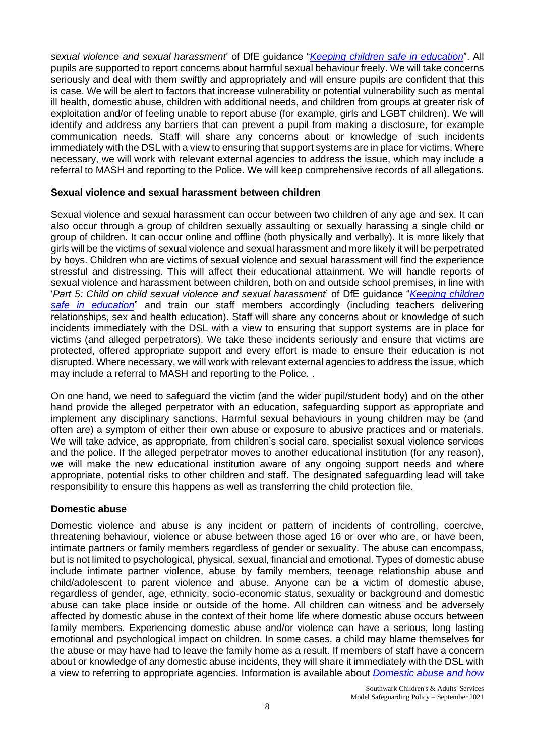*sexual violence and sexual harassment*' of DfE guidance "*[Keeping children safe in education](https://www.gov.uk/government/publications/keeping-children-safe-in-education--2)*". All pupils are supported to report concerns about harmful sexual behaviour freely. We will take concerns seriously and deal with them swiftly and appropriately and will ensure pupils are confident that this is case. We will be alert to factors that increase vulnerability or potential vulnerability such as mental ill health, domestic abuse, children with additional needs, and children from groups at greater risk of exploitation and/or of feeling unable to report abuse (for example, girls and LGBT children). We will identify and address any barriers that can prevent a pupil from making a disclosure, for example communication needs. Staff will share any concerns about or knowledge of such incidents immediately with the DSL with a view to ensuring that support systems are in place for victims. Where necessary, we will work with relevant external agencies to address the issue, which may include a referral to MASH and reporting to the Police. We will keep comprehensive records of all allegations.

#### **Sexual violence and sexual harassment between children**

Sexual violence and sexual harassment can occur between two children of any age and sex. It can also occur through a group of children sexually assaulting or sexually harassing a single child or group of children. It can occur online and offline (both physically and verbally). It is more likely that girls will be the victims of sexual violence and sexual harassment and more likely it will be perpetrated by boys. Children who are victims of sexual violence and sexual harassment will find the experience stressful and distressing. This will affect their educational attainment. We will handle reports of sexual violence and harassment between children, both on and outside school premises, in line with '*Part 5: Child on child sexual violence and sexual harassment*' of DfE guidance "*[Keeping children](https://www.gov.uk/government/publications/keeping-children-safe-in-education--2)  [safe in education](https://www.gov.uk/government/publications/keeping-children-safe-in-education--2)*" and train our staff members accordingly (including teachers delivering relationships, sex and health education). Staff will share any concerns about or knowledge of such incidents immediately with the DSL with a view to ensuring that support systems are in place for victims (and alleged perpetrators). We take these incidents seriously and ensure that victims are protected, offered appropriate support and every effort is made to ensure their education is not disrupted. Where necessary, we will work with relevant external agencies to address the issue, which may include a referral to MASH and reporting to the Police. .

On one hand, we need to safeguard the victim (and the wider pupil/student body) and on the other hand provide the alleged perpetrator with an education, safeguarding support as appropriate and implement any disciplinary sanctions. Harmful sexual behaviours in young children may be (and often are) a symptom of either their own abuse or exposure to abusive practices and or materials. We will take advice, as appropriate, from children's social care, specialist sexual violence services and the police. If the alleged perpetrator moves to another educational institution (for any reason), we will make the new educational institution aware of any ongoing support needs and where appropriate, potential risks to other children and staff. The designated safeguarding lead will take responsibility to ensure this happens as well as transferring the child protection file.

#### **Domestic abuse**

Domestic violence and abuse is any incident or pattern of incidents of controlling, coercive, threatening behaviour, violence or abuse between those aged 16 or over who are, or have been, intimate partners or family members regardless of gender or sexuality. The abuse can encompass, but is not limited to psychological, physical, sexual, financial and emotional. Types of domestic abuse include intimate partner violence, abuse by family members, teenage relationship abuse and child/adolescent to parent violence and abuse. Anyone can be a victim of domestic abuse, regardless of gender, age, ethnicity, socio-economic status, sexuality or background and domestic abuse can take place inside or outside of the home. All children can witness and be adversely affected by domestic abuse in the context of their home life where domestic abuse occurs between family members. Experiencing domestic abuse and/or violence can have a serious, long lasting emotional and psychological impact on children. In some cases, a child may blame themselves for the abuse or may have had to leave the family home as a result. If members of staff have a concern about or knowledge of any domestic abuse incidents, they will share it immediately with the DSL with a view to referring to appropriate agencies. Information is available about *[Domestic abuse and how](https://www.southwark.gov.uk/community-safety/domestic-abuse/if-you-re-experiencing-domestic-abuse/domestic-abuse-and-how-to-get-help)*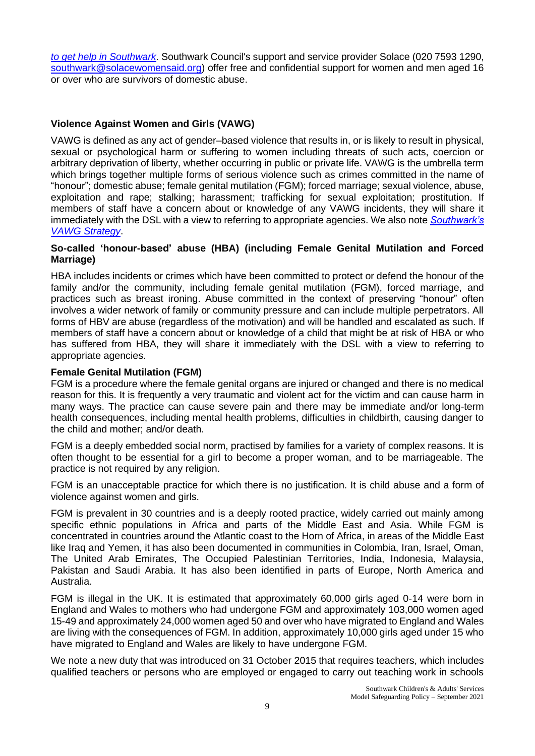*[to get help in Southwark](https://www.southwark.gov.uk/community-safety/domestic-abuse/if-you-re-experiencing-domestic-abuse/domestic-abuse-and-how-to-get-help)*. Southwark Council's support and service provider Solace (020 7593 1290, [southwark@solacewomensaid.org\)](mailto:southwark@solacewomensaid.org) offer free and confidential support for women and men aged 16 or over who are survivors of domestic abuse.

### **Violence Against Women and Girls (VAWG)**

VAWG is defined as any act of gender–based violence that results in, or is likely to result in physical, sexual or psychological harm or suffering to women including threats of such acts, coercion or arbitrary deprivation of liberty, whether occurring in public or private life. VAWG is the umbrella term which brings together multiple forms of serious violence such as crimes committed in the name of "honour"; domestic abuse; female genital mutilation (FGM); forced marriage; sexual violence, abuse, exploitation and rape; stalking; harassment; trafficking for sexual exploitation; prostitution. If members of staff have a concern about or knowledge of any VAWG incidents, they will share it immediately with the DSL with a view to referring to appropriate agencies. We also note *[Southwark's](https://www.southwark.gov.uk/community-safety/domestic-abuse/information-for-professionals-about-domestic-abuse/violence-against-women-and-girls-strategy-2019-to-2024)  [VAWG Strategy](https://www.southwark.gov.uk/community-safety/domestic-abuse/information-for-professionals-about-domestic-abuse/violence-against-women-and-girls-strategy-2019-to-2024)*.

#### **So-called 'honour-based' abuse (HBA) (including Female Genital Mutilation and Forced Marriage)**

HBA includes incidents or crimes which have been committed to protect or defend the honour of the family and/or the community, including female genital mutilation (FGM), forced marriage, and practices such as breast ironing. Abuse committed in the context of preserving "honour" often involves a wider network of family or community pressure and can include multiple perpetrators. All forms of HBV are abuse (regardless of the motivation) and will be handled and escalated as such. If members of staff have a concern about or knowledge of a child that might be at risk of HBA or who has suffered from HBA, they will share it immediately with the DSL with a view to referring to appropriate agencies.

#### **Female Genital Mutilation (FGM)**

FGM is a procedure where the female genital organs are injured or changed and there is no medical reason for this. It is frequently a very traumatic and violent act for the victim and can cause harm in many ways. The practice can cause severe pain and there may be immediate and/or long-term health consequences, including mental health problems, difficulties in childbirth, causing danger to the child and mother; and/or death.

FGM is a deeply embedded social norm, practised by families for a variety of complex reasons. It is often thought to be essential for a girl to become a proper woman, and to be marriageable. The practice is not required by any religion.

FGM is an unacceptable practice for which there is no justification. It is child abuse and a form of violence against women and girls.

FGM is prevalent in 30 countries and is a deeply rooted practice, widely carried out mainly among specific ethnic populations in Africa and parts of the Middle East and Asia. While FGM is concentrated in countries around the Atlantic coast to the Horn of Africa, in areas of the Middle East like Iraq and Yemen, it has also been documented in communities in Colombia, Iran, Israel, Oman, The United Arab Emirates, The Occupied Palestinian Territories, India, Indonesia, Malaysia, Pakistan and Saudi Arabia. It has also been identified in parts of Europe, North America and Australia.

FGM is illegal in the UK. It is estimated that approximately 60,000 girls aged 0-14 were born in England and Wales to mothers who had undergone FGM and approximately 103,000 women aged 15-49 and approximately 24,000 women aged 50 and over who have migrated to England and Wales are living with the consequences of FGM. In addition, approximately 10,000 girls aged under 15 who have migrated to England and Wales are likely to have undergone FGM.

We note a new duty that was introduced on 31 October 2015 that requires teachers, which includes qualified teachers or persons who are employed or engaged to carry out teaching work in schools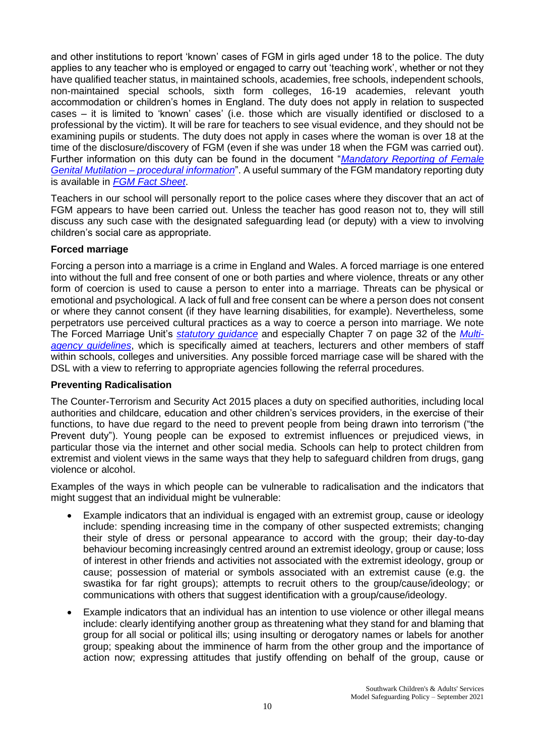and other institutions to report 'known' cases of FGM in girls aged under 18 to the police. The duty applies to any teacher who is employed or engaged to carry out 'teaching work', whether or not they have qualified teacher status, in maintained schools, academies, free schools, independent schools, non-maintained special schools, sixth form colleges, 16-19 academies, relevant youth accommodation or children's homes in England. The duty does not apply in relation to suspected cases – it is limited to 'known' cases' (i.e. those which are visually identified or disclosed to a professional by the victim). It will be rare for teachers to see visual evidence, and they should not be examining pupils or students. The duty does not apply in cases where the woman is over 18 at the time of the disclosure/discovery of FGM (even if she was under 18 when the FGM was carried out). Further information on this duty can be found in the document "*[Mandatory Reporting of Female](https://www.gov.uk/government/publications/mandatory-reporting-of-female-genital-mutilation-procedural-information)  Genital Mutilation – [procedural information](https://www.gov.uk/government/publications/mandatory-reporting-of-female-genital-mutilation-procedural-information)*". A useful summary of the FGM mandatory reporting duty is available in *[FGM Fact Sheet](https://assets.publishing.service.gov.uk/government/uploads/system/uploads/attachment_data/file/496415/6_1639_HO_SP_FGM_mandatory_reporting_Fact_sheet_Web.pdf)*.

Teachers in our school will personally report to the police cases where they discover that an act of FGM appears to have been carried out. Unless the teacher has good reason not to, they will still discuss any such case with the designated safeguarding lead (or deputy) with a view to involving children's social care as appropriate.

#### **Forced marriage**

Forcing a person into a marriage is a crime in England and Wales. A forced marriage is one entered into without the full and free consent of one or both parties and where violence, threats or any other form of coercion is used to cause a person to enter into a marriage. Threats can be physical or emotional and psychological. A lack of full and free consent can be where a person does not consent or where they cannot consent (if they have learning disabilities, for example). Nevertheless, some perpetrators use perceived cultural practices as a way to coerce a person into marriage. We note The Forced Marriage Unit's *[statutory guidance](https://www.gov.uk/guidance/forced-marriage)* and especially Chapter 7 on page 32 of the *[Multi](https://assets.publishing.service.gov.uk/government/uploads/system/uploads/attachment_data/file/322307/HMG_MULTI_AGENCY_PRACTICE_GUIDELINES_v1_180614_FINAL.pdf)[agency guidelines](https://assets.publishing.service.gov.uk/government/uploads/system/uploads/attachment_data/file/322307/HMG_MULTI_AGENCY_PRACTICE_GUIDELINES_v1_180614_FINAL.pdf)*, which is specifically aimed at teachers, lecturers and other members of staff within schools, colleges and universities. Any possible forced marriage case will be shared with the DSL with a view to referring to appropriate agencies following the referral procedures.

#### **Preventing Radicalisation**

The Counter-Terrorism and Security Act 2015 places a duty on specified authorities, including local authorities and childcare, education and other children's services providers, in the exercise of their functions, to have due regard to the need to prevent people from being drawn into terrorism ("the Prevent duty"). Young people can be exposed to extremist influences or prejudiced views, in particular those via the internet and other social media. Schools can help to protect children from extremist and violent views in the same ways that they help to safeguard children from drugs, gang violence or alcohol.

Examples of the ways in which people can be vulnerable to radicalisation and the indicators that might suggest that an individual might be vulnerable:

- Example indicators that an individual is engaged with an extremist group, cause or ideology include: spending increasing time in the company of other suspected extremists; changing their style of dress or personal appearance to accord with the group; their day-to-day behaviour becoming increasingly centred around an extremist ideology, group or cause; loss of interest in other friends and activities not associated with the extremist ideology, group or cause; possession of material or symbols associated with an extremist cause (e.g. the swastika for far right groups); attempts to recruit others to the group/cause/ideology; or communications with others that suggest identification with a group/cause/ideology.
- Example indicators that an individual has an intention to use violence or other illegal means include: clearly identifying another group as threatening what they stand for and blaming that group for all social or political ills; using insulting or derogatory names or labels for another group; speaking about the imminence of harm from the other group and the importance of action now; expressing attitudes that justify offending on behalf of the group, cause or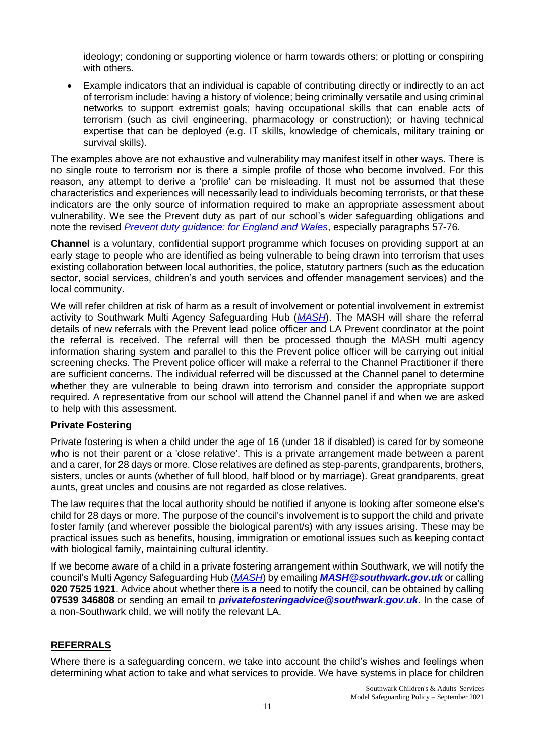ideology; condoning or supporting violence or harm towards others; or plotting or conspiring with others.

• Example indicators that an individual is capable of contributing directly or indirectly to an act of terrorism include: having a history of violence; being criminally versatile and using criminal networks to support extremist goals; having occupational skills that can enable acts of terrorism (such as civil engineering, pharmacology or construction); or having technical expertise that can be deployed (e.g. IT skills, knowledge of chemicals, military training or survival skills).

The examples above are not exhaustive and vulnerability may manifest itself in other ways. There is no single route to terrorism nor is there a simple profile of those who become involved. For this reason, any attempt to derive a 'profile' can be misleading. It must not be assumed that these characteristics and experiences will necessarily lead to individuals becoming terrorists, or that these indicators are the only source of information required to make an appropriate assessment about vulnerability. We see the Prevent duty as part of our school's wider safeguarding obligations and note the revised *[Prevent duty guidance: for England and Wales](https://www.gov.uk/government/publications/prevent-duty-guidance)*, especially paragraphs 57-76.

**Channel** is a voluntary, confidential support programme which focuses on providing support at an early stage to people who are identified as being vulnerable to being drawn into terrorism that uses existing collaboration between local authorities, the police, statutory partners (such as the education sector, social services, children's and youth services and offender management services) and the local community.

We will refer children at risk of harm as a result of involvement or potential involvement in extremist activity to Southwark Multi Agency Safeguarding Hub (*[MASH](https://www.southwark.gov.uk/childcare-and-parenting/children-s-social-care/child-protection/multi-agency-safeguarding-hub-mash)*). The MASH will share the referral details of new referrals with the Prevent lead police officer and LA Prevent coordinator at the point the referral is received. The referral will then be processed though the MASH multi agency information sharing system and parallel to this the Prevent police officer will be carrying out initial screening checks. The Prevent police officer will make a referral to the Channel Practitioner if there are sufficient concerns. The individual referred will be discussed at the Channel panel to determine whether they are vulnerable to being drawn into terrorism and consider the appropriate support required. A representative from our school will attend the Channel panel if and when we are asked to help with this assessment.

#### **Private Fostering**

Private fostering is when a child under the age of 16 (under 18 if disabled) is cared for by someone who is not their parent or a 'close relative'. This is a private arrangement made between a parent and a carer, for 28 days or more. Close relatives are defined as step-parents, grandparents, brothers, sisters, uncles or aunts (whether of full blood, half blood or by marriage). Great grandparents, great aunts, great uncles and cousins are not regarded as close relatives.

The law requires that the local authority should be notified if anyone is looking after someone else's child for 28 days or more. The purpose of the council's involvement is to support the child and private foster family (and wherever possible the biological parent/s) with any issues arising. These may be practical issues such as benefits, housing, immigration or emotional issues such as keeping contact with biological family, maintaining cultural identity.

If we become aware of a child in a private fostering arrangement within Southwark, we will notify the council's Multi Agency Safeguarding Hub (*[MASH](https://www.southwark.gov.uk/childcare-and-parenting/children-s-social-care/child-protection/multi-agency-safeguarding-hub-mash)*) by emailing *[MASH@southwark.gov.uk](mailto:MASH@southwark.gov.uk)* or calling **020 7525 1921**. Advice about whether there is a need to notify the council, can be obtained by calling **07539 346808** or sending an email to *[privatefosteringadvice@southwark.gov.uk](mailto:privatefosteringadvice@southwark.gov.uk)*. In the case of a non-Southwark child, we will notify the relevant LA.

### **REFERRALS**

Where there is a safeguarding concern, we take into account the child's wishes and feelings when determining what action to take and what services to provide. We have systems in place for children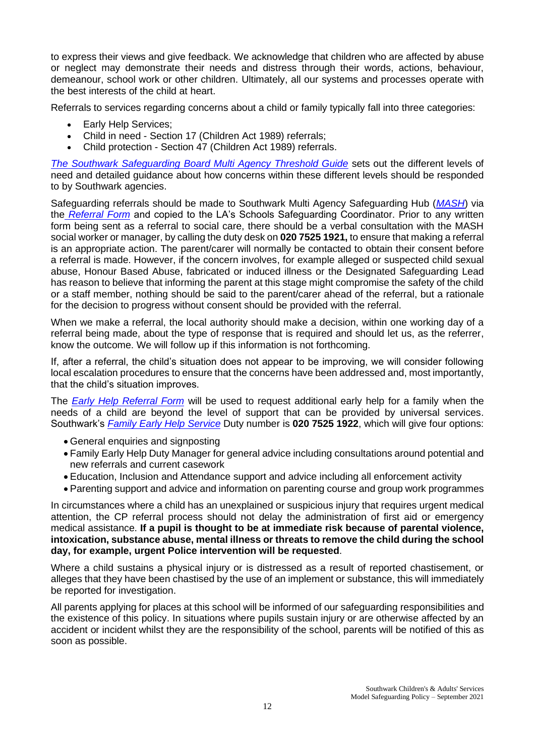to express their views and give feedback. We acknowledge that children who are affected by abuse or neglect may demonstrate their needs and distress through their words, actions, behaviour, demeanour, school work or other children. Ultimately, all our systems and processes operate with the best interests of the child at heart.

Referrals to services regarding concerns about a child or family typically fall into three categories:

- Early Help Services;
- Child in need Section 17 (Children Act 1989) referrals;
- Child protection Section 47 (Children Act 1989) referrals.

*[The Southwark Safeguarding Board Multi Agency Threshold Guide](https://safeguarding.southwark.gov.uk/assets/files/463/SSCB.THRESHOLD-OF-NEEDS.FINAL.pdf)* sets out the different levels of need and detailed guidance about how concerns within these different levels should be responded to by Southwark agencies.

Safeguarding referrals should be made to Southwark Multi Agency Safeguarding Hub (*[MASH](https://www.southwark.gov.uk/childcare-and-parenting/children-s-social-care/child-protection/multi-agency-safeguarding-hub-mash)*) via the *[Referral Form](https://www.safeguarding.southwark.gov.uk/assets/files/524/updated-multi-agency-referral-form-updated-5.12.19.docx)* and copied to the LA's Schools Safeguarding Coordinator. Prior to any written form being sent as a referral to social care, there should be a verbal consultation with the MASH social worker or manager, by calling the duty desk on **020 7525 1921,** to ensure that making a referral is an appropriate action. The parent/carer will normally be contacted to obtain their consent before a referral is made. However, if the concern involves, for example alleged or suspected child sexual abuse, Honour Based Abuse, fabricated or induced illness or the Designated Safeguarding Lead has reason to believe that informing the parent at this stage might compromise the safety of the child or a staff member, nothing should be said to the parent/carer ahead of the referral, but a rationale for the decision to progress without consent should be provided with the referral.

When we make a referral, the local authority should make a decision, within one working day of a referral being made, about the type of response that is required and should let us, as the referrer, know the outcome. We will follow up if this information is not forthcoming.

If, after a referral, the child's situation does not appear to be improving, we will consider following local escalation procedures to ensure that the concerns have been addressed and, most importantly, that the child's situation improves.

The *[Early Help Referral Form](https://www.southwark.gov.uk/assets/attach/4659/New-Early-Help-Referral-Form-2-1-.docx)* will be used to request additional early help for a family when the needs of a child are beyond the level of support that can be provided by universal services. Southwark's *[Family Early Help](https://www.southwark.gov.uk/childcare-and-parenting/children-s-social-care/family-early-help-feh/family-early-help-feh-strategy) Service* Duty number is **020 7525 1922**, which will give four options:

- General enquiries and signposting
- Family Early Help Duty Manager for general advice including consultations around potential and new referrals and current casework
- Education, Inclusion and Attendance support and advice including all enforcement activity
- Parenting support and advice and information on parenting course and group work programmes

In circumstances where a child has an unexplained or suspicious injury that requires urgent medical attention, the CP referral process should not delay the administration of first aid or emergency medical assistance. **If a pupil is thought to be at immediate risk because of parental violence, intoxication, substance abuse, mental illness or threats to remove the child during the school day, for example, urgent Police intervention will be requested**.

Where a child sustains a physical injury or is distressed as a result of reported chastisement, or alleges that they have been chastised by the use of an implement or substance, this will immediately be reported for investigation.

All parents applying for places at this school will be informed of our safeguarding responsibilities and the existence of this policy. In situations where pupils sustain injury or are otherwise affected by an accident or incident whilst they are the responsibility of the school, parents will be notified of this as soon as possible.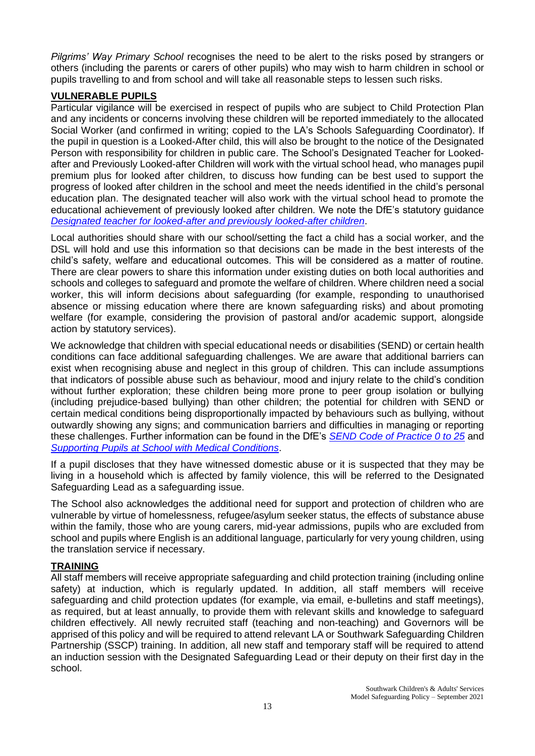*Pilgrims' Way Primary School* recognises the need to be alert to the risks posed by strangers or others (including the parents or carers of other pupils) who may wish to harm children in school or pupils travelling to and from school and will take all reasonable steps to lessen such risks.

### **VULNERABLE PUPILS**

Particular vigilance will be exercised in respect of pupils who are subject to Child Protection Plan and any incidents or concerns involving these children will be reported immediately to the allocated Social Worker (and confirmed in writing; copied to the LA's Schools Safeguarding Coordinator). If the pupil in question is a Looked-After child, this will also be brought to the notice of the Designated Person with responsibility for children in public care. The School's Designated Teacher for Lookedafter and Previously Looked-after Children will work with the virtual school head, who manages pupil premium plus for looked after children, to discuss how funding can be best used to support the progress of looked after children in the school and meet the needs identified in the child's personal education plan. The designated teacher will also work with the virtual school head to promote the educational achievement of previously looked after children. We note the DfE's statutory guidance *[Designated teacher for looked-after and previously looked-after children](https://www.gov.uk/government/publications/designated-teacher-for-looked-after-children)*.

Local authorities should share with our school/setting the fact a child has a social worker, and the DSL will hold and use this information so that decisions can be made in the best interests of the child's safety, welfare and educational outcomes. This will be considered as a matter of routine. There are clear powers to share this information under existing duties on both local authorities and schools and colleges to safeguard and promote the welfare of children. Where children need a social worker, this will inform decisions about safeguarding (for example, responding to unauthorised absence or missing education where there are known safeguarding risks) and about promoting welfare (for example, considering the provision of pastoral and/or academic support, alongside action by statutory services).

We acknowledge that children with special educational needs or disabilities (SEND) or certain health conditions can face additional safeguarding challenges. We are aware that additional barriers can exist when recognising abuse and neglect in this group of children. This can include assumptions that indicators of possible abuse such as behaviour, mood and injury relate to the child's condition without further exploration; these children being more prone to peer group isolation or bullying (including prejudice-based bullying) than other children; the potential for children with SEND or certain medical conditions being disproportionally impacted by behaviours such as bullying, without outwardly showing any signs; and communication barriers and difficulties in managing or reporting these challenges. Further information can be found in the DfE's *[SEND Code of Practice 0 to 25](https://www.gov.uk/government/publications/send-code-of-practice-0-to-25)* and *[Supporting Pupils at School with Medical Conditions](https://www.gov.uk/government/publications/supporting-pupils-at-school-with-medical-conditions--3)*.

If a pupil discloses that they have witnessed domestic abuse or it is suspected that they may be living in a household which is affected by family violence, this will be referred to the Designated Safeguarding Lead as a safeguarding issue.

The School also acknowledges the additional need for support and protection of children who are vulnerable by virtue of homelessness, refugee/asylum seeker status, the effects of substance abuse within the family, those who are young carers, mid-year admissions, pupils who are excluded from school and pupils where English is an additional language, particularly for very young children, using the translation service if necessary.

#### **TRAINING**

All staff members will receive appropriate safeguarding and child protection training (including online safety) at induction, which is regularly updated. In addition, all staff members will receive safeguarding and child protection updates (for example, via email, e-bulletins and staff meetings), as required, but at least annually, to provide them with relevant skills and knowledge to safeguard children effectively. All newly recruited staff (teaching and non-teaching) and Governors will be apprised of this policy and will be required to attend relevant LA or Southwark Safeguarding Children Partnership (SSCP) training. In addition, all new staff and temporary staff will be required to attend an induction session with the Designated Safeguarding Lead or their deputy on their first day in the school.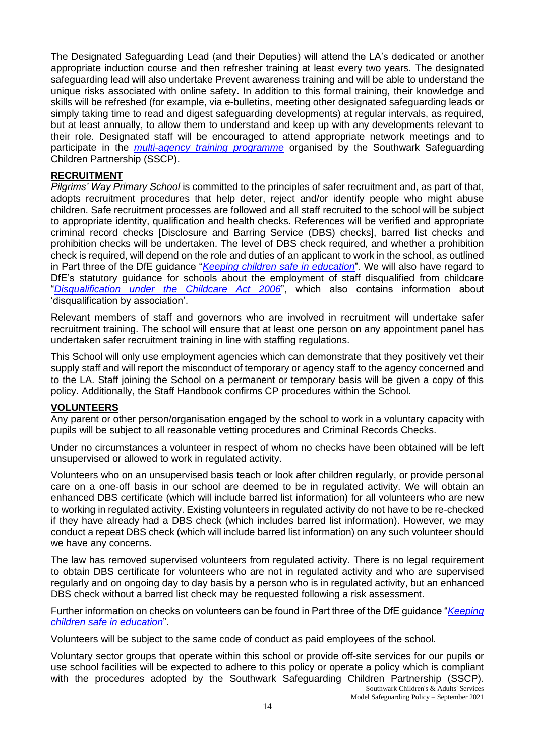The Designated Safeguarding Lead (and their Deputies) will attend the LA's dedicated or another appropriate induction course and then refresher training at least every two years. The designated safeguarding lead will also undertake Prevent awareness training and will be able to understand the unique risks associated with online safety. In addition to this formal training, their knowledge and skills will be refreshed (for example, via e-bulletins, meeting other designated safeguarding leads or simply taking time to read and digest safeguarding developments) at regular intervals, as required, but at least annually, to allow them to understand and keep up with any developments relevant to their role. Designated staff will be encouraged to attend appropriate network meetings and to participate in the *[multi-agency training programme](http://www.mylearningsource.co.uk/category/safeguarding)* organised by the Southwark Safeguarding Children Partnership (SSCP).

### **RECRUITMENT**

*Pilgrims' Way Primary School* is committed to the principles of safer recruitment and, as part of that, adopts recruitment procedures that help deter, reject and/or identify people who might abuse children. Safe recruitment processes are followed and all staff recruited to the school will be subject to appropriate identity, qualification and health checks. References will be verified and appropriate criminal record checks [Disclosure and Barring Service (DBS) checks], barred list checks and prohibition checks will be undertaken. The level of DBS check required, and whether a prohibition check is required, will depend on the role and duties of an applicant to work in the school, as outlined in Part three of the DfE guidance "*[Keeping children safe in education](https://www.gov.uk/government/publications/keeping-children-safe-in-education--2)*". We will also have regard to DfE's statutory guidance for schools about the employment of staff disqualified from childcare "*[Disqualification under the Childcare Act 2006](https://www.gov.uk/government/publications/disqualification-under-the-childcare-act-2006)*", which also contains information about 'disqualification by association'.

Relevant members of staff and governors who are involved in recruitment will undertake safer recruitment training. The school will ensure that at least one person on any appointment panel has undertaken safer recruitment training in line with staffing regulations.

This School will only use employment agencies which can demonstrate that they positively vet their supply staff and will report the misconduct of temporary or agency staff to the agency concerned and to the LA. Staff joining the School on a permanent or temporary basis will be given a copy of this policy. Additionally, the Staff Handbook confirms CP procedures within the School.

#### **VOLUNTEERS**

Any parent or other person/organisation engaged by the school to work in a voluntary capacity with pupils will be subject to all reasonable vetting procedures and Criminal Records Checks.

Under no circumstances a volunteer in respect of whom no checks have been obtained will be left unsupervised or allowed to work in regulated activity.

Volunteers who on an unsupervised basis teach or look after children regularly, or provide personal care on a one-off basis in our school are deemed to be in regulated activity. We will obtain an enhanced DBS certificate (which will include barred list information) for all volunteers who are new to working in regulated activity. Existing volunteers in regulated activity do not have to be re-checked if they have already had a DBS check (which includes barred list information). However, we may conduct a repeat DBS check (which will include barred list information) on any such volunteer should we have any concerns.

The law has removed supervised volunteers from regulated activity. There is no legal requirement to obtain DBS certificate for volunteers who are not in regulated activity and who are supervised regularly and on ongoing day to day basis by a person who is in regulated activity, but an enhanced DBS check without a barred list check may be requested following a risk assessment.

Further information on checks on volunteers can be found in Part three of the DfE guidance "*[Keeping](https://www.gov.uk/government/publications/keeping-children-safe-in-education--2)  [children safe in education](https://www.gov.uk/government/publications/keeping-children-safe-in-education--2)*".

Volunteers will be subject to the same code of conduct as paid employees of the school.

Voluntary sector groups that operate within this school or provide off-site services for our pupils or use school facilities will be expected to adhere to this policy or operate a policy which is compliant with the procedures adopted by the Southwark Safeguarding Children Partnership (SSCP).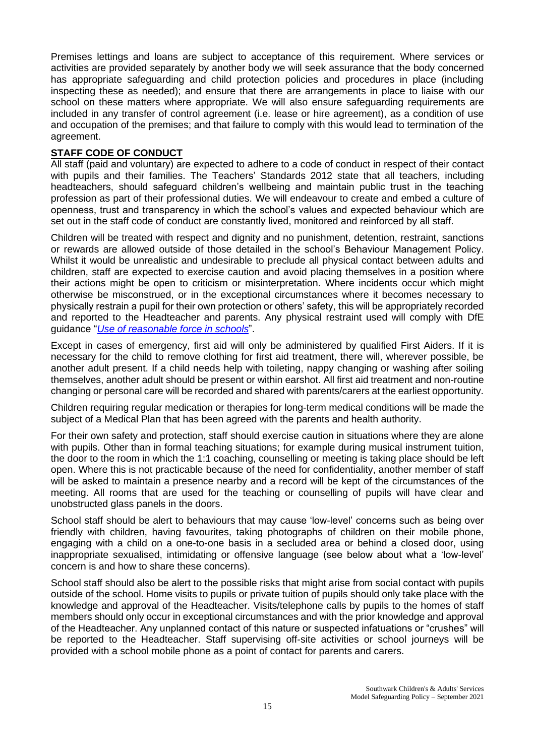Premises lettings and loans are subject to acceptance of this requirement. Where services or activities are provided separately by another body we will seek assurance that the body concerned has appropriate safeguarding and child protection policies and procedures in place (including inspecting these as needed); and ensure that there are arrangements in place to liaise with our school on these matters where appropriate. We will also ensure safeguarding requirements are included in any transfer of control agreement (i.e. lease or hire agreement), as a condition of use and occupation of the premises; and that failure to comply with this would lead to termination of the agreement.

#### **STAFF CODE OF CONDUCT**

All staff (paid and voluntary) are expected to adhere to a code of conduct in respect of their contact with pupils and their families. The Teachers' Standards 2012 state that all teachers, including headteachers, should safeguard children's wellbeing and maintain public trust in the teaching profession as part of their professional duties. We will endeavour to create and embed a culture of openness, trust and transparency in which the school's values and expected behaviour which are set out in the staff code of conduct are constantly lived, monitored and reinforced by all staff.

Children will be treated with respect and dignity and no punishment, detention, restraint, sanctions or rewards are allowed outside of those detailed in the school's Behaviour Management Policy. Whilst it would be unrealistic and undesirable to preclude all physical contact between adults and children, staff are expected to exercise caution and avoid placing themselves in a position where their actions might be open to criticism or misinterpretation. Where incidents occur which might otherwise be misconstrued, or in the exceptional circumstances where it becomes necessary to physically restrain a pupil for their own protection or others' safety, this will be appropriately recorded and reported to the Headteacher and parents. Any physical restraint used will comply with DfE guidance "*[Use of reasonable force in schools](https://www.gov.uk/government/publications/use-of-reasonable-force-in-schools)*".

Except in cases of emergency, first aid will only be administered by qualified First Aiders. If it is necessary for the child to remove clothing for first aid treatment, there will, wherever possible, be another adult present. If a child needs help with toileting, nappy changing or washing after soiling themselves, another adult should be present or within earshot. All first aid treatment and non-routine changing or personal care will be recorded and shared with parents/carers at the earliest opportunity.

Children requiring regular medication or therapies for long-term medical conditions will be made the subject of a Medical Plan that has been agreed with the parents and health authority.

For their own safety and protection, staff should exercise caution in situations where they are alone with pupils. Other than in formal teaching situations; for example during musical instrument tuition, the door to the room in which the 1:1 coaching, counselling or meeting is taking place should be left open. Where this is not practicable because of the need for confidentiality, another member of staff will be asked to maintain a presence nearby and a record will be kept of the circumstances of the meeting. All rooms that are used for the teaching or counselling of pupils will have clear and unobstructed glass panels in the doors.

School staff should be alert to behaviours that may cause 'low-level' concerns such as being over friendly with children, having favourites, taking photographs of children on their mobile phone, engaging with a child on a one-to-one basis in a secluded area or behind a closed door, using inappropriate sexualised, intimidating or offensive language (see below about what a 'low-level' concern is and how to share these concerns).

School staff should also be alert to the possible risks that might arise from social contact with pupils outside of the school. Home visits to pupils or private tuition of pupils should only take place with the knowledge and approval of the Headteacher. Visits/telephone calls by pupils to the homes of staff members should only occur in exceptional circumstances and with the prior knowledge and approval of the Headteacher. Any unplanned contact of this nature or suspected infatuations or "crushes" will be reported to the Headteacher. Staff supervising off-site activities or school journeys will be provided with a school mobile phone as a point of contact for parents and carers.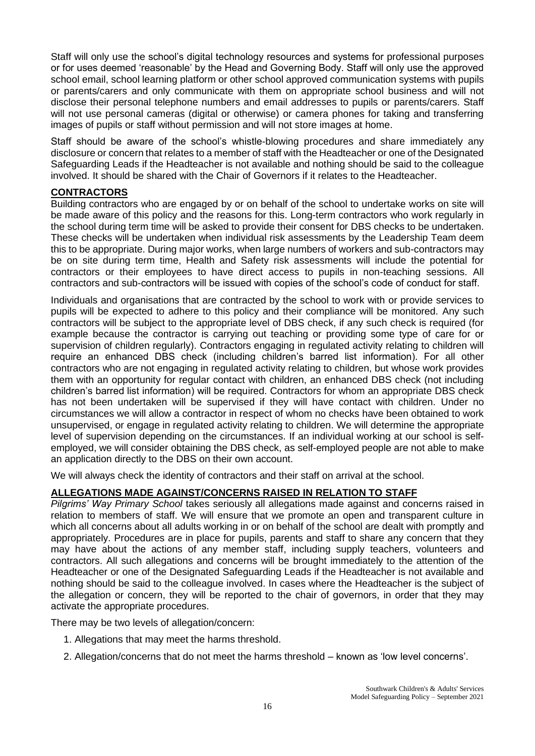Staff will only use the school's digital technology resources and systems for professional purposes or for uses deemed 'reasonable' by the Head and Governing Body. Staff will only use the approved school email, school learning platform or other school approved communication systems with pupils or parents/carers and only communicate with them on appropriate school business and will not disclose their personal telephone numbers and email addresses to pupils or parents/carers. Staff will not use personal cameras (digital or otherwise) or camera phones for taking and transferring images of pupils or staff without permission and will not store images at home.

Staff should be aware of the school's whistle-blowing procedures and share immediately any disclosure or concern that relates to a member of staff with the Headteacher or one of the Designated Safeguarding Leads if the Headteacher is not available and nothing should be said to the colleague involved. It should be shared with the Chair of Governors if it relates to the Headteacher.

### **CONTRACTORS**

Building contractors who are engaged by or on behalf of the school to undertake works on site will be made aware of this policy and the reasons for this. Long-term contractors who work regularly in the school during term time will be asked to provide their consent for DBS checks to be undertaken. These checks will be undertaken when individual risk assessments by the Leadership Team deem this to be appropriate. During major works, when large numbers of workers and sub-contractors may be on site during term time, Health and Safety risk assessments will include the potential for contractors or their employees to have direct access to pupils in non-teaching sessions. All contractors and sub-contractors will be issued with copies of the school's code of conduct for staff.

Individuals and organisations that are contracted by the school to work with or provide services to pupils will be expected to adhere to this policy and their compliance will be monitored. Any such contractors will be subject to the appropriate level of DBS check, if any such check is required (for example because the contractor is carrying out teaching or providing some type of care for or supervision of children regularly). Contractors engaging in regulated activity relating to children will require an enhanced DBS check (including children's barred list information). For all other contractors who are not engaging in regulated activity relating to children, but whose work provides them with an opportunity for regular contact with children, an enhanced DBS check (not including children's barred list information) will be required. Contractors for whom an appropriate DBS check has not been undertaken will be supervised if they will have contact with children. Under no circumstances we will allow a contractor in respect of whom no checks have been obtained to work unsupervised, or engage in regulated activity relating to children. We will determine the appropriate level of supervision depending on the circumstances. If an individual working at our school is selfemployed, we will consider obtaining the DBS check, as self-employed people are not able to make an application directly to the DBS on their own account.

We will always check the identity of contractors and their staff on arrival at the school.

### **ALLEGATIONS MADE AGAINST/CONCERNS RAISED IN RELATION TO STAFF**

*Pilgrims' Way Primary School* takes seriously all allegations made against and concerns raised in relation to members of staff. We will ensure that we promote an open and transparent culture in which all concerns about all adults working in or on behalf of the school are dealt with promptly and appropriately. Procedures are in place for pupils, parents and staff to share any concern that they may have about the actions of any member staff, including supply teachers, volunteers and contractors. All such allegations and concerns will be brought immediately to the attention of the Headteacher or one of the Designated Safeguarding Leads if the Headteacher is not available and nothing should be said to the colleague involved. In cases where the Headteacher is the subject of the allegation or concern, they will be reported to the chair of governors, in order that they may activate the appropriate procedures.

There may be two levels of allegation/concern:

- 1. Allegations that may meet the harms threshold.
- 2. Allegation/concerns that do not meet the harms threshold known as 'low level concerns'.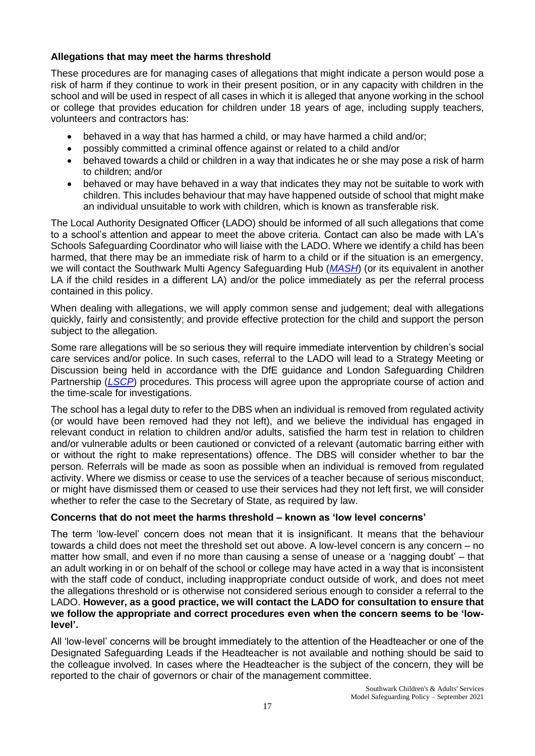### **Allegations that may meet the harms threshold**

These procedures are for managing cases of allegations that might indicate a person would pose a risk of harm if they continue to work in their present position, or in any capacity with children in the school and will be used in respect of all cases in which it is alleged that anyone working in the school or college that provides education for children under 18 years of age, including supply teachers, volunteers and contractors has:

- behaved in a way that has harmed a child, or may have harmed a child and/or;
- possibly committed a criminal offence against or related to a child and/or
- behaved towards a child or children in a way that indicates he or she may pose a risk of harm to children; and/or
- behaved or may have behaved in a way that indicates they may not be suitable to work with children. This includes behaviour that may have happened outside of school that might make an individual unsuitable to work with children, which is known as transferable risk.

The Local Authority Designated Officer (LADO) should be informed of all such allegations that come to a school's attention and appear to meet the above criteria. Contact can also be made with LA's Schools Safeguarding Coordinator who will liaise with the LADO. Where we identify a child has been harmed, that there may be an immediate risk of harm to a child or if the situation is an emergency, we will contact the Southwark Multi Agency Safeguarding Hub (*[MASH](https://www.southwark.gov.uk/childcare-and-parenting/children-s-social-care/child-protection/multi-agency-safeguarding-hub-mash)*) (or its equivalent in another LA if the child resides in a different LA) and/or the police immediately as per the referral process contained in this policy.

When dealing with allegations, we will apply common sense and judgement; deal with allegations quickly, fairly and consistently; and provide effective protection for the child and support the person subject to the allegation.

Some rare allegations will be so serious they will require immediate intervention by children's social care services and/or police. In such cases, referral to the LADO will lead to a Strategy Meeting or Discussion being held in accordance with the DfE guidance and London Safeguarding Children Partnership (*[LSCP](http://www.londonscb.gov.uk/)*) procedures. This process will agree upon the appropriate course of action and the time-scale for investigations.

The school has a legal duty to refer to the DBS when an individual is removed from regulated activity (or would have been removed had they not left), and we believe the individual has engaged in relevant conduct in relation to children and/or adults, satisfied the harm test in relation to children and/or vulnerable adults or been cautioned or convicted of a relevant (automatic barring either with or without the right to make representations) offence. The DBS will consider whether to bar the person. Referrals will be made as soon as possible when an individual is removed from regulated activity. Where we dismiss or cease to use the services of a teacher because of serious misconduct, or might have dismissed them or ceased to use their services had they not left first, we will consider whether to refer the case to the Secretary of State, as required by law.

#### **Concerns that do not meet the harms threshold – known as 'low level concerns'**

The term 'low-level' concern does not mean that it is insignificant. It means that the behaviour towards a child does not meet the threshold set out above. A low-level concern is any concern – no matter how small, and even if no more than causing a sense of unease or a 'nagging doubt' – that an adult working in or on behalf of the school or college may have acted in a way that is inconsistent with the staff code of conduct, including inappropriate conduct outside of work, and does not meet the allegations threshold or is otherwise not considered serious enough to consider a referral to the LADO. **However, as a good practice, we will contact the LADO for consultation to ensure that we follow the appropriate and correct procedures even when the concern seems to be 'lowlevel'.**

All 'low-level' concerns will be brought immediately to the attention of the Headteacher or one of the Designated Safeguarding Leads if the Headteacher is not available and nothing should be said to the colleague involved. In cases where the Headteacher is the subject of the concern, they will be reported to the chair of governors or chair of the management committee.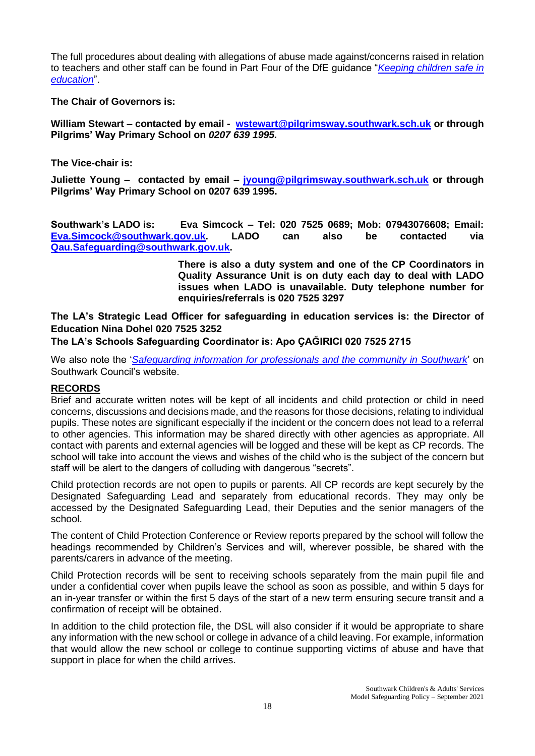The full procedures about dealing with allegations of abuse made against/concerns raised in relation to teachers and other staff can be found in Part Four of the DfE guidance "*[Keeping children safe in](https://www.gov.uk/government/publications/keeping-children-safe-in-education--2)  [education](https://www.gov.uk/government/publications/keeping-children-safe-in-education--2)*".

**The Chair of Governors is:**

**William Stewart – contacted by email - [wstewart@pilgrimsway.southwark.sch.uk](mailto:wstewart@pilgrimsway.southwark.sch.uk) or through Pilgrims' Way Primary School on** *0207 639 1995.*

**The Vice-chair is:** 

**Juliette Young – contacted by email – [jyoung@pilgrimsway.southwark.sch.uk](mailto:jyoung@pilgrimsway.southwark.sch.uk) or through Pilgrims' Way Primary School on 0207 639 1995.**

**Southwark's LADO is: Eva Simcock – Tel: 020 7525 0689; Mob: 07943076608; Email: [Eva.Simcock@southwark.gov.uk.](mailto:Eva.Simcock@southwark.gov.uk) LADO can also be contacted via [Qau.Safeguarding@southwark.gov.uk.](mailto:Qau.Safeguarding@southwark.gov.uk)**

> **There is also a duty system and one of the CP Coordinators in Quality Assurance Unit is on duty each day to deal with LADO issues when LADO is unavailable. Duty telephone number for enquiries/referrals is 020 7525 3297**

**The LA's Strategic Lead Officer for safeguarding in education services is: the Director of Education Nina Dohel 020 7525 3252**

**The LA's Schools Safeguarding Coordinator is: Apo ÇAĞIRICI 020 7525 2715**

We also note the '*[Safeguarding information for professionals and the community in Southwark](http://safeguarding.southwark.gov.uk/)*' on Southwark Council's website.

#### **RECORDS**

Brief and accurate written notes will be kept of all incidents and child protection or child in need concerns, discussions and decisions made, and the reasons for those decisions, relating to individual pupils. These notes are significant especially if the incident or the concern does not lead to a referral to other agencies. This information may be shared directly with other agencies as appropriate. All contact with parents and external agencies will be logged and these will be kept as CP records. The school will take into account the views and wishes of the child who is the subject of the concern but staff will be alert to the dangers of colluding with dangerous "secrets".

Child protection records are not open to pupils or parents. All CP records are kept securely by the Designated Safeguarding Lead and separately from educational records. They may only be accessed by the Designated Safeguarding Lead, their Deputies and the senior managers of the school.

The content of Child Protection Conference or Review reports prepared by the school will follow the headings recommended by Children's Services and will, wherever possible, be shared with the parents/carers in advance of the meeting.

Child Protection records will be sent to receiving schools separately from the main pupil file and under a confidential cover when pupils leave the school as soon as possible, and within 5 days for an in-year transfer or within the first 5 days of the start of a new term ensuring secure transit and a confirmation of receipt will be obtained.

In addition to the child protection file, the DSL will also consider if it would be appropriate to share any information with the new school or college in advance of a child leaving. For example, information that would allow the new school or college to continue supporting victims of abuse and have that support in place for when the child arrives.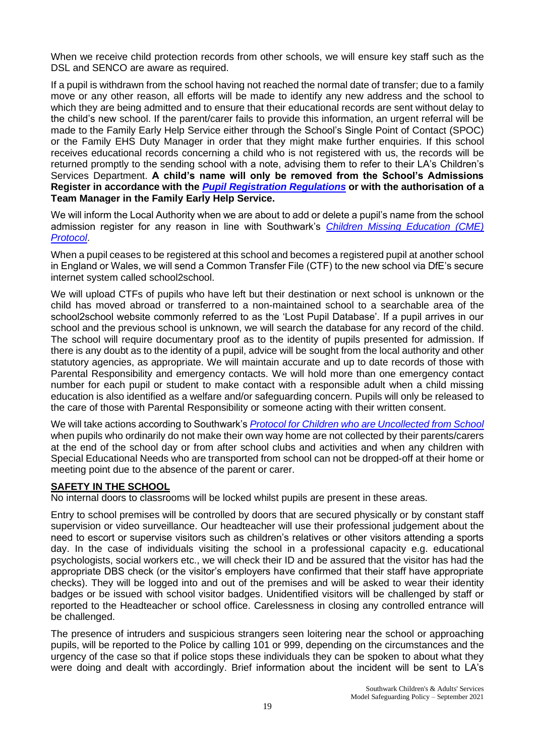When we receive child protection records from other schools, we will ensure key staff such as the DSL and SENCO are aware as required.

If a pupil is withdrawn from the school having not reached the normal date of transfer; due to a family move or any other reason, all efforts will be made to identify any new address and the school to which they are being admitted and to ensure that their educational records are sent without delay to the child's new school. If the parent/carer fails to provide this information, an urgent referral will be made to the Family Early Help Service either through the School's Single Point of Contact (SPOC) or the Family EHS Duty Manager in order that they might make further enquiries. If this school receives educational records concerning a child who is not registered with us, the records will be returned promptly to the sending school with a note, advising them to refer to their LA's Children's Services Department. **A child's name will only be removed from the School's Admissions Register in accordance with the** *[Pupil Registration Regulations](https://www.gov.uk/government/publications/school-attendance)* **or with the authorisation of a Team Manager in the Family Early Help Service.**

We will inform the Local Authority when we are about to add or delete a pupil's name from the school admission register for any reason in line with Southwark's *[Children Missing Education \(CME\)](https://safeguarding.southwark.gov.uk/assets/files/434/CME-protocol-Feb-17.pdf)  [Protocol](https://safeguarding.southwark.gov.uk/assets/files/434/CME-protocol-Feb-17.pdf)*.

When a pupil ceases to be registered at this school and becomes a registered pupil at another school in England or Wales, we will send a Common Transfer File (CTF) to the new school via DfE's secure internet system called school2school.

We will upload CTFs of pupils who have left but their destination or next school is unknown or the child has moved abroad or transferred to a non-maintained school to a searchable area of the school2school website commonly referred to as the 'Lost Pupil Database'. If a pupil arrives in our school and the previous school is unknown, we will search the database for any record of the child. The school will require documentary proof as to the identity of pupils presented for admission. If there is any doubt as to the identity of a pupil, advice will be sought from the local authority and other statutory agencies, as appropriate. We will maintain accurate and up to date records of those with Parental Responsibility and emergency contacts. We will hold more than one emergency contact number for each pupil or student to make contact with a responsible adult when a child missing education is also identified as a welfare and/or safeguarding concern. Pupils will only be released to the care of those with Parental Responsibility or someone acting with their written consent.

We will take actions according to Southwark's *[Protocol for Children who are Uncollected from School](https://southwark.proceduresonline.com/chapters/pr_child_not_collect_school.htm)* when pupils who ordinarily do not make their own way home are not collected by their parents/carers at the end of the school day or from after school clubs and activities and when any children with Special Educational Needs who are transported from school can not be dropped-off at their home or meeting point due to the absence of the parent or carer.

#### **SAFETY IN THE SCHOOL**

No internal doors to classrooms will be locked whilst pupils are present in these areas.

Entry to school premises will be controlled by doors that are secured physically or by constant staff supervision or video surveillance. Our headteacher will use their professional judgement about the need to escort or supervise visitors such as children's relatives or other visitors attending a sports day. In the case of individuals visiting the school in a professional capacity e.g. educational psychologists, social workers etc., we will check their ID and be assured that the visitor has had the appropriate DBS check (or the visitor's employers have confirmed that their staff have appropriate checks). They will be logged into and out of the premises and will be asked to wear their identity badges or be issued with school visitor badges. Unidentified visitors will be challenged by staff or reported to the Headteacher or school office. Carelessness in closing any controlled entrance will be challenged.

The presence of intruders and suspicious strangers seen loitering near the school or approaching pupils, will be reported to the Police by calling 101 or 999, depending on the circumstances and the urgency of the case so that if police stops these individuals they can be spoken to about what they were doing and dealt with accordingly. Brief information about the incident will be sent to LA's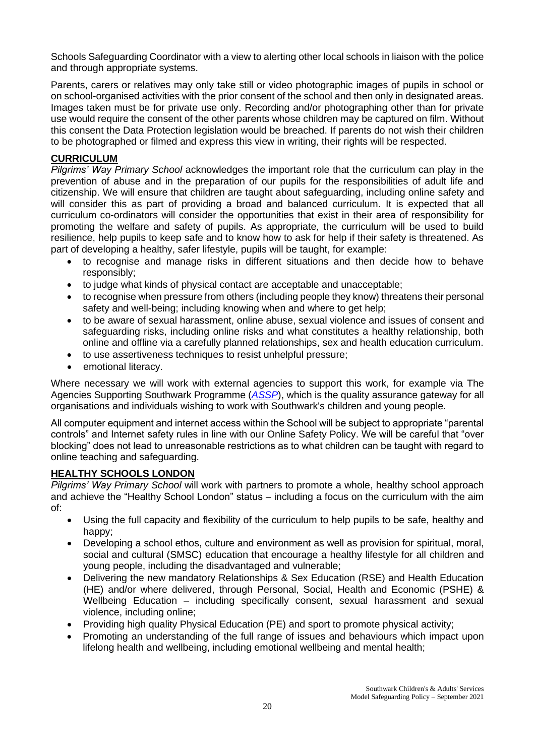Schools Safeguarding Coordinator with a view to alerting other local schools in liaison with the police and through appropriate systems.

Parents, carers or relatives may only take still or video photographic images of pupils in school or on school-organised activities with the prior consent of the school and then only in designated areas. Images taken must be for private use only. Recording and/or photographing other than for private use would require the consent of the other parents whose children may be captured on film. Without this consent the Data Protection legislation would be breached. If parents do not wish their children to be photographed or filmed and express this view in writing, their rights will be respected.

### **CURRICULUM**

*Pilgrims' Way Primary School* acknowledges the important role that the curriculum can play in the prevention of abuse and in the preparation of our pupils for the responsibilities of adult life and citizenship. We will ensure that children are taught about safeguarding, including online safety and will consider this as part of providing a broad and balanced curriculum. It is expected that all curriculum co-ordinators will consider the opportunities that exist in their area of responsibility for promoting the welfare and safety of pupils. As appropriate, the curriculum will be used to build resilience, help pupils to keep safe and to know how to ask for help if their safety is threatened. As part of developing a healthy, safer lifestyle, pupils will be taught, for example:

- to recognise and manage risks in different situations and then decide how to behave responsibly;
- to judge what kinds of physical contact are acceptable and unacceptable;
- to recognise when pressure from others (including people they know) threatens their personal safety and well-being; including knowing when and where to get help;
- to be aware of sexual harassment, online abuse, sexual violence and issues of consent and safeguarding risks, including online risks and what constitutes a healthy relationship, both online and offline via a carefully planned relationships, sex and health education curriculum.
- to use assertiveness techniques to resist unhelpful pressure;
- emotional literacy.

Where necessary we will work with external agencies to support this work, for example via The Agencies Supporting Southwark Programme (*[ASSP](https://www.southwark.gov.uk/childcare-and-parenting/children-s-social-care/child-protection/agencies-supporting-southwark-programme-assp)*), which is the quality assurance gateway for all organisations and individuals wishing to work with Southwark's children and young people.

All computer equipment and internet access within the School will be subject to appropriate "parental controls" and Internet safety rules in line with our Online Safety Policy. We will be careful that "over blocking" does not lead to unreasonable restrictions as to what children can be taught with regard to online teaching and safeguarding.

#### **HEALTHY SCHOOLS LONDON**

*Pilgrims' Way Primary School* will work with partners to promote a whole, healthy school approach and achieve the "Healthy School London" status – including a focus on the curriculum with the aim of:

- Using the full capacity and flexibility of the curriculum to help pupils to be safe, healthy and happy;
- Developing a school ethos, culture and environment as well as provision for spiritual, moral, social and cultural (SMSC) education that encourage a healthy lifestyle for all children and young people, including the disadvantaged and vulnerable;
- Delivering the new mandatory Relationships & Sex Education (RSE) and Health Education (HE) and/or where delivered, through Personal, Social, Health and Economic (PSHE) & Wellbeing Education – including specifically consent, sexual harassment and sexual violence, including online;
- Providing high quality Physical Education (PE) and sport to promote physical activity;
- Promoting an understanding of the full range of issues and behaviours which impact upon lifelong health and wellbeing, including emotional wellbeing and mental health;